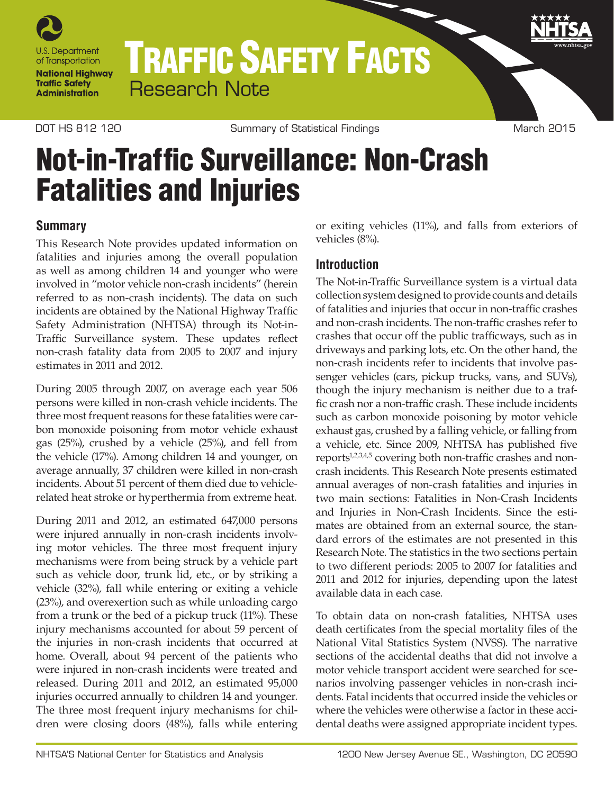

# TRAFFIC SAFETY FACTS Research Note

DOT HS 812 120 Summary of Statistical Findings Controller March 2015

# Not-in-Traffic Surveillance: Non-Crash Fatalities and Injuries

# **Summary**

This Research Note provides updated information on fatalities and injuries among the overall population as well as among children 14 and younger who were involved in "motor vehicle non-crash incidents" (herein referred to as non-crash incidents). The data on such incidents are obtained by the National Highway Traffic Safety Administration (NHTSA) through its Not-in-Traffic Surveillance system. These updates reflect non-crash fatality data from 2005 to 2007 and injury estimates in 2011 and 2012.

During 2005 through 2007, on average each year 506 persons were killed in non-crash vehicle incidents. The three most frequent reasons for these fatalities were carbon monoxide poisoning from motor vehicle exhaust gas (25%), crushed by a vehicle (25%), and fell from the vehicle (17%). Among children 14 and younger, on average annually, 37 children were killed in non-crash incidents. About 51 percent of them died due to vehiclerelated heat stroke or hyperthermia from extreme heat.

During 2011 and 2012, an estimated 647,000 persons were injured annually in non-crash incidents involving motor vehicles. The three most frequent injury mechanisms were from being struck by a vehicle part such as vehicle door, trunk lid, etc., or by striking a vehicle (32%), fall while entering or exiting a vehicle (23%), and overexertion such as while unloading cargo from a trunk or the bed of a pickup truck (11%). These injury mechanisms accounted for about 59 percent of the injuries in non-crash incidents that occurred at home. Overall, about 94 percent of the patients who were injured in non-crash incidents were treated and released. During 2011 and 2012, an estimated 95,000 injuries occurred annually to children 14 and younger. The three most frequent injury mechanisms for children were closing doors (48%), falls while entering

or exiting vehicles (11%), and falls from exteriors of vehicles (8%).

# **Introduction**

The Not-in-Traffic Surveillance system is a virtual data collection system designed to provide counts and details of fatalities and injuries that occur in non-traffic crashes and non-crash incidents. The non-traffic crashes refer to crashes that occur off the public trafficways, such as in driveways and parking lots, etc. On the other hand, the non-crash incidents refer to incidents that involve passenger vehicles (cars, pickup trucks, vans, and SUVs), though the injury mechanism is neither due to a traffic crash nor a non-traffic crash. These include incidents such as carbon monoxide poisoning by motor vehicle exhaust gas, crushed by a falling vehicle, or falling from a vehicle, etc. Since 2009, NHTSA has published five reports<sup>1,2,3,4,5</sup> covering both non-traffic crashes and noncrash incidents. This Research Note presents estimated annual averages of non-crash fatalities and injuries in two main sections: Fatalities in Non-Crash Incidents and Injuries in Non-Crash Incidents. Since the estimates are obtained from an external source, the standard errors of the estimates are not presented in this Research Note. The statistics in the two sections pertain to two different periods: 2005 to 2007 for fatalities and 2011 and 2012 for injuries, depending upon the latest available data in each case.

To obtain data on non-crash fatalities, NHTSA uses death certificates from the special mortality files of the National Vital Statistics System (NVSS). The narrative sections of the accidental deaths that did not involve a motor vehicle transport accident were searched for scenarios involving passenger vehicles in non-crash incidents. Fatal incidents that occurred inside the vehicles or where the vehicles were otherwise a factor in these accidental deaths were assigned appropriate incident types.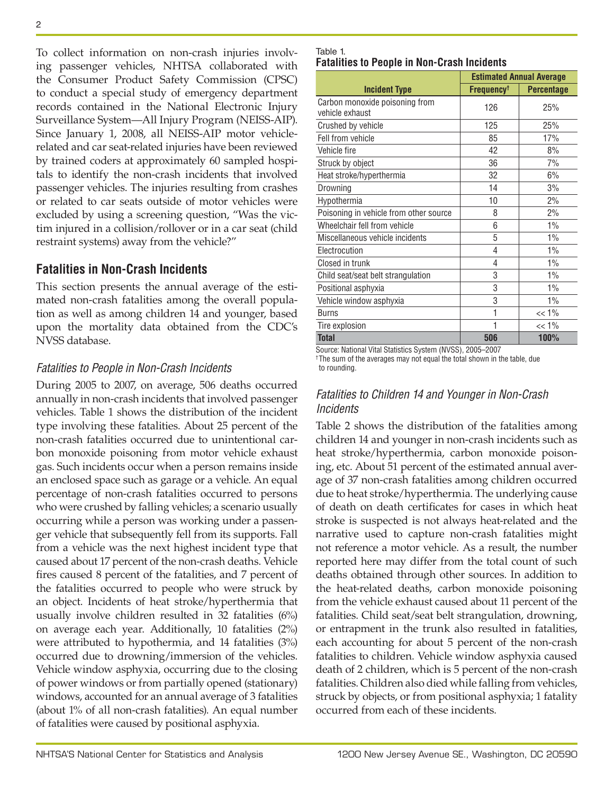To collect information on non-crash injuries involving passenger vehicles, NHTSA collaborated with the Consumer Product Safety Commission (CPSC) to conduct a special study of emergency department records contained in the National Electronic Injury Surveillance System—All Injury Program (NEISS-AIP). Since January 1, 2008, all NEISS-AIP motor vehiclerelated and car seat-related injuries have been reviewed by trained coders at approximately 60 sampled hospitals to identify the non-crash incidents that involved passenger vehicles. The injuries resulting from crashes or related to car seats outside of motor vehicles were excluded by using a screening question, "Was the victim injured in a collision/rollover or in a car seat (child restraint systems) away from the vehicle?"

# **Fatalities in Non-Crash Incidents**

This section presents the annual average of the estimated non-crash fatalities among the overall population as well as among children 14 and younger, based upon the mortality data obtained from the CDC's NVSS database.

# *Fatalities to People in Non-Crash Incidents*

During 2005 to 2007, on average, 506 deaths occurred annually in non-crash incidents that involved passenger vehicles. Table 1 shows the distribution of the incident type involving these fatalities. About 25 percent of the non-crash fatalities occurred due to unintentional carbon monoxide poisoning from motor vehicle exhaust gas. Such incidents occur when a person remains inside an enclosed space such as garage or a vehicle. An equal percentage of non-crash fatalities occurred to persons who were crushed by falling vehicles; a scenario usually occurring while a person was working under a passenger vehicle that subsequently fell from its supports. Fall from a vehicle was the next highest incident type that caused about 17 percent of the non-crash deaths. Vehicle fires caused 8 percent of the fatalities, and 7 percent of the fatalities occurred to people who were struck by an object. Incidents of heat stroke/hyperthermia that usually involve children resulted in 32 fatalities (6%) on average each year. Additionally, 10 fatalities (2%) were attributed to hypothermia, and 14 fatalities (3%) occurred due to drowning/immersion of the vehicles. Vehicle window asphyxia, occurring due to the closing of power windows or from partially opened (stationary) windows, accounted for an annual average of 3 fatalities (about 1% of all non-crash fatalities). An equal number of fatalities were caused by positional asphyxia.

#### Table 1. **Fatalities to People in Non-Crash Incidents**

|                                                   | <b>Estimated Annual Average</b> |                   |  |
|---------------------------------------------------|---------------------------------|-------------------|--|
| <b>Incident Type</b>                              | <b>Frequency<sup>t</sup></b>    | <b>Percentage</b> |  |
| Carbon monoxide poisoning from<br>vehicle exhaust | 126                             | 25%               |  |
| Crushed by vehicle                                | 125                             | 25%               |  |
| Fell from vehicle                                 | 85                              | 17%               |  |
| Vehicle fire                                      | 42                              | 8%                |  |
| Struck by object                                  | 36                              | 7%                |  |
| Heat stroke/hyperthermia                          | 32                              | 6%                |  |
| Drowning                                          | 14                              | 3%                |  |
| Hypothermia                                       | 10                              | 2%                |  |
| Poisoning in vehicle from other source            | 8                               | 2%                |  |
| Wheelchair fell from vehicle                      | 6                               | 1%                |  |
| Miscellaneous vehicle incidents                   | 5                               | 1%                |  |
| Electrocution                                     | 4                               | 1%                |  |
| Closed in trunk                                   | 4                               | 1%                |  |
| Child seat/seat belt strangulation                | 3                               | 1%                |  |
| Positional asphyxia                               | 3                               | 1%                |  |
| Vehicle window asphyxia                           | 3                               | 1%                |  |
| <b>Burns</b>                                      | 1                               | $<< 1\%$          |  |
| Tire explosion                                    | 1                               | $<< 1\%$          |  |
| <b>Total</b>                                      | 506                             | 100%              |  |

Source: National Vital Statistics System (NVSS), 2005–2007 † The sum of the averages may not equal the total shown in the table, due to rounding.

## *Fatalities to Children 14 and Younger in Non-Crash Incidents*

Table 2 shows the distribution of the fatalities among children 14 and younger in non-crash incidents such as heat stroke/hyperthermia, carbon monoxide poisoning, etc. About 51 percent of the estimated annual average of 37 non-crash fatalities among children occurred due to heat stroke/hyperthermia. The underlying cause of death on death certificates for cases in which heat stroke is suspected is not always heat-related and the narrative used to capture non-crash fatalities might not reference a motor vehicle. As a result, the number reported here may differ from the total count of such deaths obtained through other sources. In addition to the heat-related deaths, carbon monoxide poisoning from the vehicle exhaust caused about 11 percent of the fatalities. Child seat/seat belt strangulation, drowning, or entrapment in the trunk also resulted in fatalities, each accounting for about 5 percent of the non-crash fatalities to children. Vehicle window asphyxia caused death of 2 children, which is 5 percent of the non-crash fatalities. Children also died while falling from vehicles, struck by objects, or from positional asphyxia; 1 fatality occurred from each of these incidents.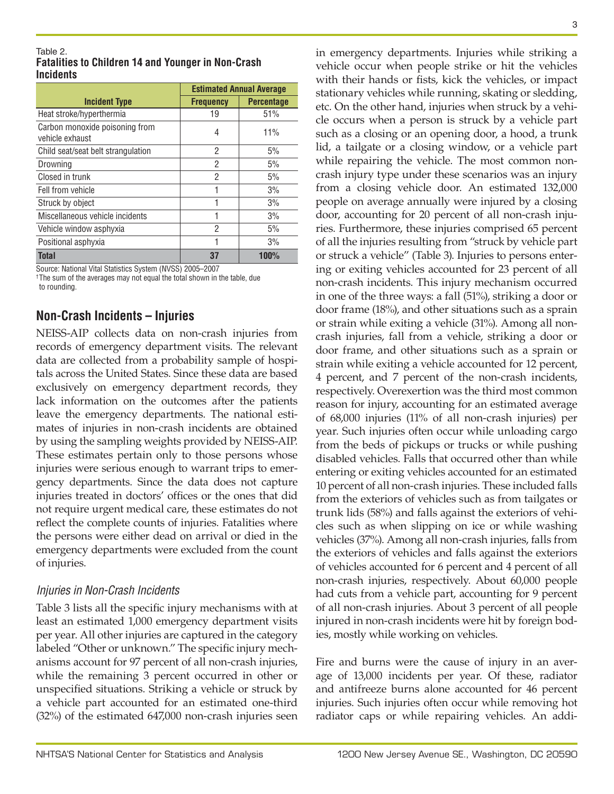#### Table 2. **Fatalities to Children 14 and Younger in Non-Crash Incidents**

|                                                   | <b>Estimated Annual Average</b> |                   |  |  |
|---------------------------------------------------|---------------------------------|-------------------|--|--|
| <b>Incident Type</b>                              | <b>Frequency</b>                | <b>Percentage</b> |  |  |
| Heat stroke/hyperthermia                          | 19                              | 51%               |  |  |
| Carbon monoxide poisoning from<br>vehicle exhaust | 4                               | 11%               |  |  |
| Child seat/seat belt strangulation                | 2                               | 5%                |  |  |
| Drowning                                          | 2                               | 5%                |  |  |
| Closed in trunk                                   | 2                               | 5%                |  |  |
| Fell from vehicle                                 | 1                               | 3%                |  |  |
| Struck by object                                  | 1                               | 3%                |  |  |
| Miscellaneous vehicle incidents                   | 1                               | 3%                |  |  |
| Vehicle window asphyxia                           | 2                               | 5%                |  |  |
| Positional asphyxia                               | 1                               | 3%                |  |  |
| Total                                             | 37                              | 100%              |  |  |

Source: National Vital Statistics System (NVSS) 2005–2007

† The sum of the averages may not equal the total shown in the table, due to rounding.

# **Non-Crash Incidents – Injuries**

NEISS-AIP collects data on non-crash injuries from records of emergency department visits. The relevant data are collected from a probability sample of hospitals across the United States. Since these data are based exclusively on emergency department records, they lack information on the outcomes after the patients leave the emergency departments. The national estimates of injuries in non-crash incidents are obtained by using the sampling weights provided by NEISS-AIP. These estimates pertain only to those persons whose injuries were serious enough to warrant trips to emergency departments. Since the data does not capture injuries treated in doctors' offices or the ones that did not require urgent medical care, these estimates do not reflect the complete counts of injuries. Fatalities where the persons were either dead on arrival or died in the emergency departments were excluded from the count of injuries.

# *Injuries in Non-Crash Incidents*

Table 3 lists all the specific injury mechanisms with at least an estimated 1,000 emergency department visits per year. All other injuries are captured in the category labeled "Other or unknown." The specific injury mechanisms account for 97 percent of all non-crash injuries, while the remaining 3 percent occurred in other or unspecified situations. Striking a vehicle or struck by a vehicle part accounted for an estimated one-third (32%) of the estimated 647,000 non-crash injuries seen

in emergency departments. Injuries while striking a vehicle occur when people strike or hit the vehicles with their hands or fists, kick the vehicles, or impact stationary vehicles while running, skating or sledding, etc. On the other hand, injuries when struck by a vehicle occurs when a person is struck by a vehicle part such as a closing or an opening door, a hood, a trunk lid, a tailgate or a closing window, or a vehicle part while repairing the vehicle. The most common noncrash injury type under these scenarios was an injury from a closing vehicle door. An estimated 132,000 people on average annually were injured by a closing door, accounting for 20 percent of all non-crash injuries. Furthermore, these injuries comprised 65 percent of all the injuries resulting from "struck by vehicle part or struck a vehicle" (Table 3). Injuries to persons entering or exiting vehicles accounted for 23 percent of all non-crash incidents. This injury mechanism occurred in one of the three ways: a fall (51%), striking a door or door frame (18%), and other situations such as a sprain or strain while exiting a vehicle (31%). Among all noncrash injuries, fall from a vehicle, striking a door or door frame, and other situations such as a sprain or strain while exiting a vehicle accounted for 12 percent, 4 percent, and 7 percent of the non-crash incidents, respectively. Overexertion was the third most common reason for injury, accounting for an estimated average of 68,000 injuries (11% of all non-crash injuries) per year. Such injuries often occur while unloading cargo from the beds of pickups or trucks or while pushing disabled vehicles. Falls that occurred other than while entering or exiting vehicles accounted for an estimated 10 percent of all non-crash injuries. These included falls from the exteriors of vehicles such as from tailgates or trunk lids (58%) and falls against the exteriors of vehicles such as when slipping on ice or while washing vehicles (37%). Among all non-crash injuries, falls from the exteriors of vehicles and falls against the exteriors of vehicles accounted for 6 percent and 4 percent of all non-crash injuries, respectively. About 60,000 people had cuts from a vehicle part, accounting for 9 percent of all non-crash injuries. About 3 percent of all people injured in non-crash incidents were hit by foreign bodies, mostly while working on vehicles.

Fire and burns were the cause of injury in an average of 13,000 incidents per year. Of these, radiator and antifreeze burns alone accounted for 46 percent injuries. Such injuries often occur while removing hot radiator caps or while repairing vehicles. An addi-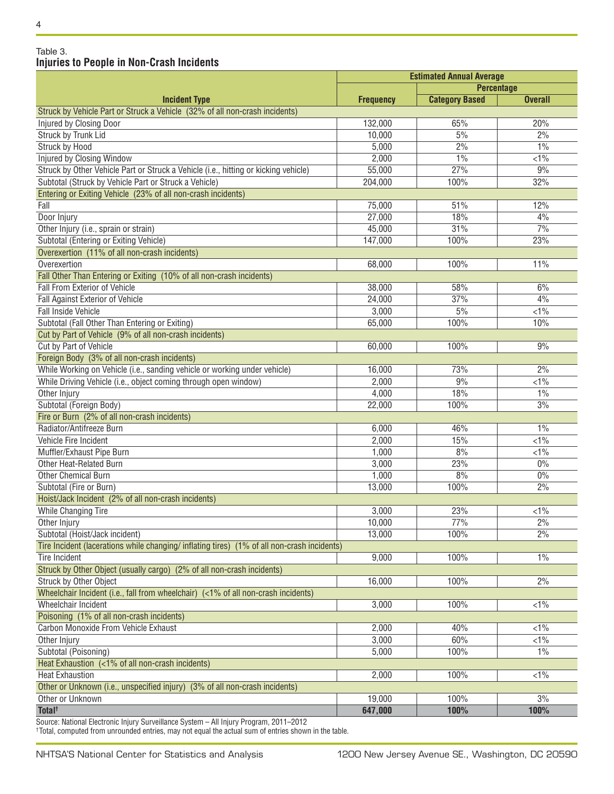#### 4

### Table 3. **Injuries to People in Non-Crash Incidents**

|                                                                                             | <b>Estimated Annual Average</b> |                       |                |  |
|---------------------------------------------------------------------------------------------|---------------------------------|-----------------------|----------------|--|
|                                                                                             | <b>Percentage</b>               |                       |                |  |
| <b>Incident Type</b>                                                                        | <b>Frequency</b>                | <b>Category Based</b> | <b>Overall</b> |  |
| Struck by Vehicle Part or Struck a Vehicle (32% of all non-crash incidents)                 |                                 |                       |                |  |
| Injured by Closing Door                                                                     | 132,000                         | 65%                   | 20%            |  |
| <b>Struck by Trunk Lid</b>                                                                  | 10,000                          | 5%                    | 2%             |  |
| <b>Struck by Hood</b>                                                                       | 5,000                           | 2%                    | 1%             |  |
| Injured by Closing Window                                                                   | 2,000                           | 1%                    | $<1\%$         |  |
| Struck by Other Vehicle Part or Struck a Vehicle (i.e., hitting or kicking vehicle)         | 55,000                          | 27%                   | 9%             |  |
| Subtotal (Struck by Vehicle Part or Struck a Vehicle)                                       | 204,000                         | 100%                  | 32%            |  |
| Entering or Exiting Vehicle (23% of all non-crash incidents)                                |                                 |                       |                |  |
| Fall                                                                                        | 75,000                          | 51%                   | 12%            |  |
| Door Injury                                                                                 | 27,000                          | 18%                   | 4%             |  |
| Other Injury (i.e., sprain or strain)                                                       | 45,000                          | 31%                   | 7%             |  |
| Subtotal (Entering or Exiting Vehicle)                                                      | 147,000                         | 100%                  | 23%            |  |
| Overexertion (11% of all non-crash incidents)                                               |                                 |                       |                |  |
| Overexertion                                                                                | 68,000                          | 100%                  | 11%            |  |
| Fall Other Than Entering or Exiting (10% of all non-crash incidents)                        |                                 |                       |                |  |
| <b>Fall From Exterior of Vehicle</b>                                                        | 38,000                          | 58%                   | 6%             |  |
| Fall Against Exterior of Vehicle                                                            | 24,000                          | 37%                   | 4%             |  |
| <b>Fall Inside Vehicle</b>                                                                  | 3,000                           | 5%                    | $\sqrt{1\%}$   |  |
| Subtotal (Fall Other Than Entering or Exiting)                                              | 65,000                          | 100%                  | 10%            |  |
| Cut by Part of Vehicle (9% of all non-crash incidents)                                      |                                 |                       |                |  |
| <b>Cut by Part of Vehicle</b>                                                               | 60,000                          | 100%                  | 9%             |  |
| Foreign Body (3% of all non-crash incidents)                                                |                                 |                       |                |  |
| While Working on Vehicle (i.e., sanding vehicle or working under vehicle)                   | 16,000                          | 73%                   | 2%             |  |
| While Driving Vehicle (i.e., object coming through open window)                             | 2,000                           | 9%                    | $< 1\%$        |  |
|                                                                                             | 4,000                           | 18%                   | 1%             |  |
| Other Injury                                                                                |                                 |                       | 3%             |  |
| Subtotal (Foreign Body)                                                                     | 22,000                          | 100%                  |                |  |
| Fire or Burn (2% of all non-crash incidents)                                                |                                 |                       |                |  |
| Radiator/Antifreeze Burn                                                                    | 6,000                           | 46%                   | 1%             |  |
| Vehicle Fire Incident                                                                       | 2,000                           | 15%                   | $< 1\%$        |  |
| Muffler/Exhaust Pipe Burn                                                                   | 1,000                           | 8%                    | $<1\%$         |  |
| Other Heat-Related Burn                                                                     | 3,000                           | 23%                   | 0%             |  |
| <b>Other Chemical Burn</b>                                                                  | 1,000                           | 8%                    | $0\%$          |  |
| Subtotal (Fire or Burn)                                                                     | 13,000                          | 100%                  | 2%             |  |
| Hoist/Jack Incident (2% of all non-crash incidents)                                         |                                 |                       |                |  |
| <b>While Changing Tire</b>                                                                  | 3,000                           | 23%                   | $<1\%$         |  |
| Other Injury                                                                                | 10,000                          | 77%                   | 2%             |  |
| Subtotal (Hoist/Jack incident)                                                              | 13,000                          | 100%                  | 2%             |  |
| Tire Incident (lacerations while changing/ inflating tires) (1% of all non-crash incidents) |                                 |                       |                |  |
| <b>Tire Incident</b>                                                                        | 9,000                           | 100%                  | 1%             |  |
| Struck by Other Object (usually cargo) (2% of all non-crash incidents)                      |                                 |                       |                |  |
| Struck by Other Object                                                                      | 16,000                          | 100%                  | 2%             |  |
| Wheelchair Incident (i.e., fall from wheelchair) (<1% of all non-crash incidents)           |                                 |                       |                |  |
| Wheelchair Incident                                                                         | 3,000                           | 100%                  | $< 1\%$        |  |
| Poisoning (1% of all non-crash incidents)                                                   |                                 |                       |                |  |
| Carbon Monoxide From Vehicle Exhaust                                                        | 2,000                           | 40%                   | $< 1\%$        |  |
| Other Injury                                                                                | 3,000                           | 60%                   | $< 1\%$        |  |
| Subtotal (Poisoning)                                                                        | 5,000                           | 100%                  | 1%             |  |
| Heat Exhaustion (<1% of all non-crash incidents)                                            |                                 |                       |                |  |
| <b>Heat Exhaustion</b>                                                                      | 2,000                           | 100%                  | $< 1\%$        |  |
| Other or Unknown (i.e., unspecified injury) (3% of all non-crash incidents)                 |                                 |                       |                |  |
| Other or Unknown                                                                            | 19,000                          | 100%                  | 3%             |  |
| Total <sup>†</sup>                                                                          | 647,000                         | 100%                  | 100%           |  |
|                                                                                             |                                 |                       |                |  |

Source: National Electronic Injury Surveillance System – All Injury Program, 2011–2012

†Total, computed from unrounded entries, may not equal the actual sum of entries shown in the table.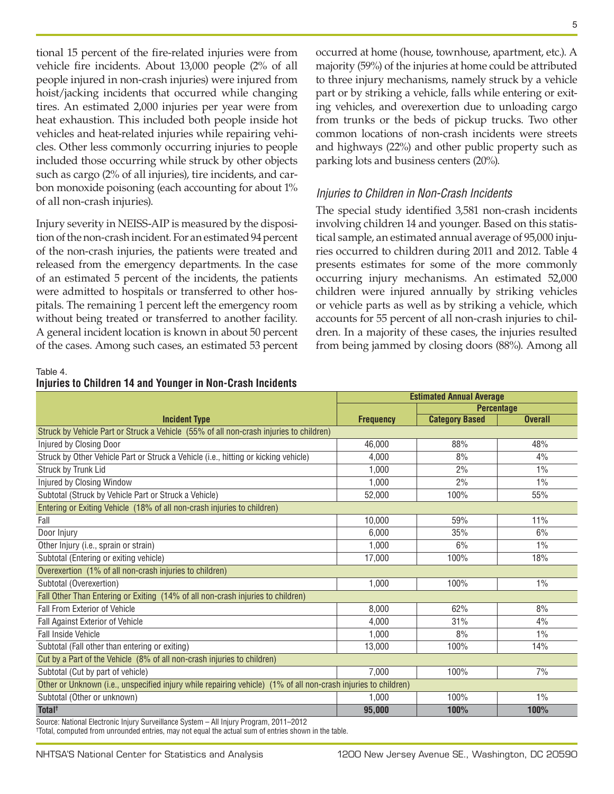tional 15 percent of the fire-related injuries were from vehicle fire incidents. About 13,000 people (2% of all people injured in non-crash injuries) were injured from hoist/jacking incidents that occurred while changing tires. An estimated 2,000 injuries per year were from heat exhaustion. This included both people inside hot vehicles and heat-related injuries while repairing vehicles. Other less commonly occurring injuries to people included those occurring while struck by other objects such as cargo (2% of all injuries), tire incidents, and carbon monoxide poisoning (each accounting for about 1% of all non-crash injuries).

Injury severity in NEISS-AIP is measured by the disposition of the non-crash incident. For an estimated 94 percent of the non-crash injuries, the patients were treated and released from the emergency departments. In the case of an estimated 5 percent of the incidents, the patients were admitted to hospitals or transferred to other hospitals. The remaining 1 percent left the emergency room without being treated or transferred to another facility. A general incident location is known in about 50 percent of the cases. Among such cases, an estimated 53 percent

occurred at home (house, townhouse, apartment, etc.). A majority (59%) of the injuries at home could be attributed to three injury mechanisms, namely struck by a vehicle part or by striking a vehicle, falls while entering or exiting vehicles, and overexertion due to unloading cargo from trunks or the beds of pickup trucks. Two other common locations of non-crash incidents were streets and highways (22%) and other public property such as parking lots and business centers (20%).

### *Injuries to Children in Non-Crash Incidents*

The special study identified 3,581 non-crash incidents involving children 14 and younger. Based on this statistical sample, an estimated annual average of 95,000 injuries occurred to children during 2011 and 2012. Table 4 presents estimates for some of the more commonly occurring injury mechanisms. An estimated 52,000 children were injured annually by striking vehicles or vehicle parts as well as by striking a vehicle, which accounts for 55 percent of all non-crash injuries to children. In a majority of these cases, the injuries resulted from being jammed by closing doors (88%). Among all

Table 4.

|  | Injuries to Children 14 and Younger in Non-Crash Incidents |  |  |  |  |  |  |
|--|------------------------------------------------------------|--|--|--|--|--|--|
|--|------------------------------------------------------------|--|--|--|--|--|--|

|                                                                                                                | <b>Estimated Annual Average</b> |                       |                |  |  |  |
|----------------------------------------------------------------------------------------------------------------|---------------------------------|-----------------------|----------------|--|--|--|
|                                                                                                                |                                 | <b>Percentage</b>     |                |  |  |  |
| <b>Incident Type</b>                                                                                           | <b>Frequency</b>                | <b>Category Based</b> | <b>Overall</b> |  |  |  |
| Struck by Vehicle Part or Struck a Vehicle (55% of all non-crash injuries to children)                         |                                 |                       |                |  |  |  |
| Injured by Closing Door                                                                                        | 46,000                          | 88%                   | 48%            |  |  |  |
| Struck by Other Vehicle Part or Struck a Vehicle (i.e., hitting or kicking vehicle)                            | 4,000                           | 8%                    | 4%             |  |  |  |
| Struck by Trunk Lid                                                                                            | 1,000                           | 2%                    | 1%             |  |  |  |
| Injured by Closing Window                                                                                      | 1,000                           | 2%                    | 1%             |  |  |  |
| Subtotal (Struck by Vehicle Part or Struck a Vehicle)                                                          | 52,000                          | 100%                  | 55%            |  |  |  |
| Entering or Exiting Vehicle (18% of all non-crash injuries to children)                                        |                                 |                       |                |  |  |  |
| Fall                                                                                                           | 10,000                          | 59%                   | 11%            |  |  |  |
| Door Injury                                                                                                    | 6,000                           | 35%                   | 6%             |  |  |  |
| Other Injury (i.e., sprain or strain)                                                                          | 1,000                           | 6%                    | 1%             |  |  |  |
| Subtotal (Entering or exiting vehicle)                                                                         | 17,000                          | 100%                  | 18%            |  |  |  |
| Overexertion (1% of all non-crash injuries to children)                                                        |                                 |                       |                |  |  |  |
| Subtotal (Overexertion)                                                                                        | 1,000                           | 100%                  | $1\%$          |  |  |  |
| Fall Other Than Entering or Exiting (14% of all non-crash injuries to children)                                |                                 |                       |                |  |  |  |
| <b>Fall From Exterior of Vehicle</b>                                                                           | 8,000                           | 62%                   | 8%             |  |  |  |
| Fall Against Exterior of Vehicle                                                                               | 4,000                           | 31%                   | 4%             |  |  |  |
| Fall Inside Vehicle                                                                                            | 1.000                           | 8%                    | $1\%$          |  |  |  |
| Subtotal (Fall other than entering or exiting)                                                                 | 13,000                          | 100%                  | 14%            |  |  |  |
| Cut by a Part of the Vehicle (8% of all non-crash injuries to children)                                        |                                 |                       |                |  |  |  |
| Subtotal (Cut by part of vehicle)                                                                              | 7,000                           | 100%                  | 7%             |  |  |  |
| Other or Unknown (i.e., unspecified injury while repairing vehicle) (1% of all non-crash injuries to children) |                                 |                       |                |  |  |  |
| Subtotal (Other or unknown)                                                                                    | 1,000                           | 100%                  | 1%             |  |  |  |
| Total <sup>t</sup>                                                                                             | 95,000                          | 100%                  | 100%           |  |  |  |
| Source: National Flectronic Injury Surveillance System - All Injury Program 2011-2012                          |                                 |                       |                |  |  |  |

Source: National Electronic Injury Surveillance System – All Injury Program, 2011–2012 † Total, computed from unrounded entries, may not equal the actual sum of entries shown in the table.